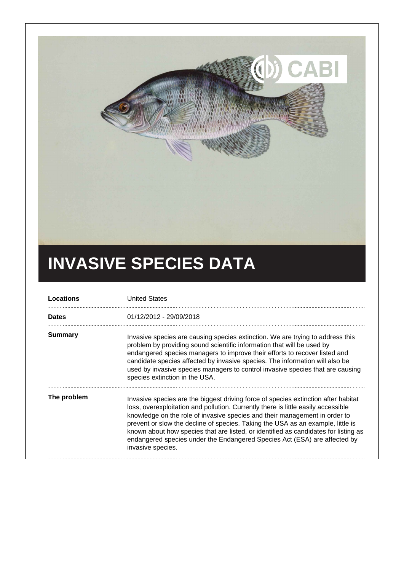

## **INVASIVE SPECIES DATA**

| Locations    | <b>United States</b>                                                                                                                                                                                                                                                                                                                                                                                                                                                                                                              |
|--------------|-----------------------------------------------------------------------------------------------------------------------------------------------------------------------------------------------------------------------------------------------------------------------------------------------------------------------------------------------------------------------------------------------------------------------------------------------------------------------------------------------------------------------------------|
| <b>Dates</b> | 01/12/2012 - 29/09/2018                                                                                                                                                                                                                                                                                                                                                                                                                                                                                                           |
| Summary      | Invasive species are causing species extinction. We are trying to address this<br>problem by providing sound scientific information that will be used by<br>endangered species managers to improve their efforts to recover listed and<br>candidate species affected by invasive species. The information will also be<br>used by invasive species managers to control invasive species that are causing<br>species extinction in the USA.                                                                                        |
| The problem  | Invasive species are the biggest driving force of species extinction after habitat<br>loss, overexploitation and pollution. Currently there is little easily accessible<br>knowledge on the role of invasive species and their management in order to<br>prevent or slow the decline of species. Taking the USA as an example, little is<br>known about how species that are listed, or identified as candidates for listing as<br>endangered species under the Endangered Species Act (ESA) are affected by<br>invasive species. |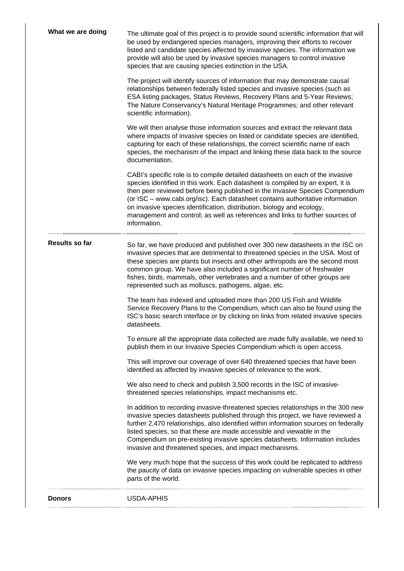| What we are doing     | The ultimate goal of this project is to provide sound scientific information that will<br>be used by endangered species managers, improving their efforts to recover<br>listed and candidate species affected by invasive species. The information we<br>provide will also be used by invasive species managers to control invasive<br>species that are causing species extinction in the USA.                                                                                                                 |
|-----------------------|----------------------------------------------------------------------------------------------------------------------------------------------------------------------------------------------------------------------------------------------------------------------------------------------------------------------------------------------------------------------------------------------------------------------------------------------------------------------------------------------------------------|
|                       | The project will identify sources of information that may demonstrate causal<br>relationships between federally listed species and invasive species (such as<br>ESA listing packages, Status Reviews, Recovery Plans and 5-Year Reviews;<br>The Nature Conservancy's Natural Heritage Programmes; and other relevant<br>scientific information).                                                                                                                                                               |
|                       | We will then analyse those information sources and extract the relevant data<br>where impacts of invasive species on listed or candidate species are identified,<br>capturing for each of these relationships, the correct scientific name of each<br>species, the mechanism of the impact and linking these data back to the source<br>documentation.                                                                                                                                                         |
|                       | CABI's specific role is to compile detailed datasheets on each of the invasive<br>species identified in this work. Each datasheet is compiled by an expert, it is<br>then peer reviewed before being published in the Invasive Species Compendium<br>(or ISC - www.cabi.org/isc). Each datasheet contains authoritative information<br>on invasive species identification, distribution, biology and ecology,<br>management and control; as well as references and links to further sources of<br>information. |
| <b>Results so far</b> | So far, we have produced and published over 300 new datasheets in the ISC on<br>invasive species that are detrimental to threatened species in the USA. Most of<br>these species are plants but insects and other arthropods are the second most<br>common group. We have also included a significant number of freshwater<br>fishes, birds, mammals, other vertebrates and a number of other groups are<br>represented such as molluscs, pathogens, algae, etc.                                               |
|                       | The team has indexed and uploaded more than 200 US Fish and Wildlife<br>Service Recovery Plans to the Compendium, which can also be found using the<br>ISC's basic search interface or by clicking on links from related invasive species<br>datasheets.                                                                                                                                                                                                                                                       |
|                       | To ensure all the appropriate data collected are made fully available, we need to<br>publish them in our Invasive Species Compendium which is open access.                                                                                                                                                                                                                                                                                                                                                     |
|                       | This will improve our coverage of over 640 threatened species that have been<br>identified as affected by invasive species of relevance to the work.                                                                                                                                                                                                                                                                                                                                                           |
|                       | We also need to check and publish 3,500 records in the ISC of invasive-<br>threatened species relationships, impact mechanisms etc.                                                                                                                                                                                                                                                                                                                                                                            |
|                       | In addition to recording invasive-threatened species relationships in the 300 new<br>invasive species datasheets published through this project, we have reviewed a<br>further 2,470 relationships, also identified within information sources on federally<br>listed species, so that these are made accessible and viewable in the<br>Compendium on pre-existing invasive species datasheets. Information includes<br>invasive and threatened species, and impact mechanisms.                                |
|                       | We very much hope that the success of this work could be replicated to address<br>the paucity of data on invasive species impacting on vulnerable species in other<br>parts of the world.                                                                                                                                                                                                                                                                                                                      |
| <b>Donors</b>         | <b>USDA-APHIS</b>                                                                                                                                                                                                                                                                                                                                                                                                                                                                                              |